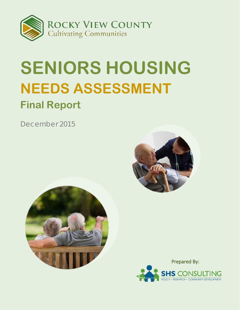

# **SENIORS HOUSING NEEDS ASSESSMENT Final Report**

*December 2015*





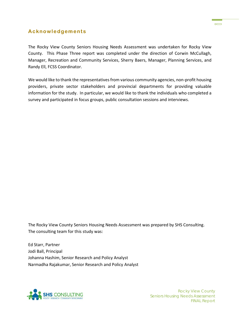

#### **Acknowledgements**

The Rocky View County Seniors Housing Needs Assessment was undertaken for Rocky View County. This Phase Three report was completed under the direction of Corwin McCullagh, Manager, Recreation and Community Services, Sherry Baers, Manager, Planning Services, and Randy Ell, FCSS Coordinator.

We would like to thank the representatives from various community agencies, non-profit housing providers, private sector stakeholders and provincial departments for providing valuable information for the study. In particular, we would like to thank the individuals who completed a survey and participated in focus groups, public consultation sessions and interviews.

The Rocky View County Seniors Housing Needs Assessment was prepared by SHS Consulting. The consulting team for this study was:

Ed Starr, Partner Jodi Ball, Principal Johanna Hashim, Senior Research and Policy Analyst Narmadha Rajakumar, Senior Research and Policy Analyst

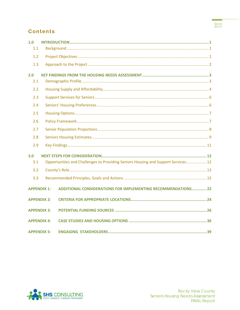#### <u> Tanzania (</u>  $\begin{matrix} 0 \\ 0 \end{matrix}$

### **Contents**

| 1.0                |                                                                                   |  |  |  |  |
|--------------------|-----------------------------------------------------------------------------------|--|--|--|--|
| 1.1                |                                                                                   |  |  |  |  |
| 1.2                |                                                                                   |  |  |  |  |
| 1.3                |                                                                                   |  |  |  |  |
| 2.0                |                                                                                   |  |  |  |  |
| 2.1                |                                                                                   |  |  |  |  |
| 2.2                |                                                                                   |  |  |  |  |
| 2.3                |                                                                                   |  |  |  |  |
| 2.4                |                                                                                   |  |  |  |  |
| 2.5                |                                                                                   |  |  |  |  |
| 2.6                |                                                                                   |  |  |  |  |
| 2.7                |                                                                                   |  |  |  |  |
| 2.8                |                                                                                   |  |  |  |  |
| 2.9                |                                                                                   |  |  |  |  |
| 3.0                |                                                                                   |  |  |  |  |
| 3.1                | Opportunities and Challenges to Providing Seniors Housing and Support Services 12 |  |  |  |  |
| 3.2                |                                                                                   |  |  |  |  |
| 3.3                |                                                                                   |  |  |  |  |
| <b>APPENDIX 1:</b> | <b>ADDITIONAL CONSIDERATIONS FOR IMPLEMENTING RECOMMENDATIONS 22</b>              |  |  |  |  |
| <b>APPENDIX 2:</b> |                                                                                   |  |  |  |  |
| <b>APPENDIX 3:</b> |                                                                                   |  |  |  |  |
| <b>APPENDIX 4:</b> |                                                                                   |  |  |  |  |
| <b>APPENDIX 5:</b> |                                                                                   |  |  |  |  |

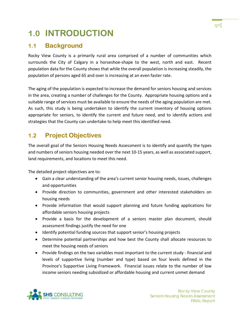

# <span id="page-3-0"></span>**1.0 INTRODUCTION**

# <span id="page-3-1"></span>**1.1 Background**

Rocky View County is a primarily rural area comprised of a number of communities which surrounds the City of Calgary in a horseshoe-shape to the west, north and east. Recent population data for the County shows that while the overall population is increasing steadily, the population of persons aged 65 and over is increasing at an even faster rate.

The aging of the population is expected to increase the demand for seniors housing and services in the area, creating a number of challenges for the County. Appropriate housing options and a suitable range of services must be available to ensure the needs of the aging population are met. As such, this study is being undertaken to identify the current inventory of housing options appropriate for seniors, to identify the current and future need, and to identify actions and strategies that the County can undertake to help meet this identified need.

# <span id="page-3-2"></span>**1.2 Project Objectives**

The overall goal of the Seniors Housing Needs Assessment is to identify and quantify the types and numbers of seniors housing needed over the next 10-15 years, as well as associated support, land requirements, and locations to meet this need.

The detailed project objectives are to:

- Gain a clear understanding of the area's current senior housing needs, issues, challenges and opportunities
- Provide direction to communities, government and other interested stakeholders on housing needs
- Provide information that would support planning and future funding applications for affordable seniors housing projects
- Provide a basis for the development of a seniors master plan document, should assessment findings justify the need for one
- Identify potential funding sources that support senior's housing projects
- Determine potential partnerships and how best the County shall allocate resources to meet the housing needs of seniors
- Provide findings on the two variables most important to the current study financial and levels of supportive living (number and type) based on four levels defined in the Province's Supportive Living Framework. Financial issues relate to the number of low income seniors needing subsidized or affordable housing and current unmet demand

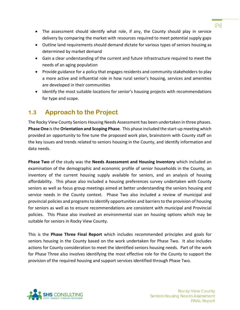- The assessment should identify what role, if any, the County should play in service delivery by comparing the market with resources required to meet potential supply gaps
- Outline land requirements should demand dictate for various types of seniors housing as determined by market demand
- Gain a clear understanding of the current and future infrastructure required to meet the needs of an aging population
- Provide guidance for a policy that engages residents and community stakeholders to play a more active and influential role in how rural senior's housing, services and amenities are developed in their communities
- Identify the most suitable locations for senior's housing projects with recommendations for type and scope.

# <span id="page-4-0"></span>**1.3 Approach to the Project**

The Rocky View County Seniors Housing Needs Assessment has been undertaken in three phases. **Phase One** is the **Orientation and Scoping Phase**. This phase included the start-up meeting which provided an opportunity to fine tune the proposed work plan, brainstorm with County staff on the key issues and trends related to seniors housing in the County, and identify information and data needs.

**Phase Two** of the study was the **Needs Assessment and Housing Inventory** which included an examination of the demographic and economic profile of senior households in the County, an inventory of the current housing supply available for seniors, and an analysis of housing affordability. This phase also included a housing preferences survey undertaken with County seniors as well as focus group meetings aimed at better understanding the seniors housing and service needs in the County context. Phase Two also included a review of municipal and provincial policies and programs to identify opportunities and barriers to the provision of housing for seniors as well as to ensure recommendations are consistent with municipal and Provincial policies. This Phase also involved an environmental scan on housing options which may be suitable for seniors in Rocky View County.

This is the **Phase Three Final Report** which includes recommended principles and goals for seniors housing in the County based on the work undertaken for Phase Two. It also includes actions for County consideration to meet the identified seniors housing needs. Part of the work for Phase Three also involves identifying the most effective role for the County to support the provision of the required housing and support services identified through Phase Two.



 $\approx$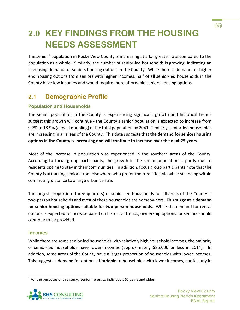# <span id="page-5-0"></span>**2.0 KEY FINDINGS FROM THE HOUSING NEEDS ASSESSMENT**

The senior<sup>[1](#page-5-2)</sup> population in Rocky View County is increasing at a far greater rate compared to the population as a whole. Similarly, the number of senior-led households is growing, indicating an increasing demand for seniors housing options in the County. While there is demand for higher end housing options from seniors with higher incomes, half of all senior-led households in the County have low incomes and would require more affordable seniors housing options.

# <span id="page-5-1"></span>**2.1 Demographic Profile**

#### **Population and Households**

The senior population in the County is experiencing significant growth and historical trends suggest this growth will continue - the County's senior population is expected to increase from 9.7% to 18.9% (almost doubling) of the total population by 2041. Similarly, senior-led households are increasing in all areas of the County. This data suggests that **the demand for seniors housing options in the County is increasing and will continue to increase over the next 25 years**.

Most of the increase in population was experienced in the southern areas of the County. According to focus group participants, the growth in the senior population is partly due to residents opting to stay in their communities. In addition, focus group participants note that the County is attracting seniors from elsewhere who prefer the rural lifestyle while still being within commuting distance to a large urban centre.

The largest proportion (three-quarters) of senior-led households for all areas of the County is two-person households and most of these households are homeowners. This suggests a **demand for senior housing options suitable for two-person households**. While the demand for rental options is expected to increase based on historical trends, ownership options for seniors should continue to be provided.

#### **Incomes**

While there are some senior-led households with relatively high household incomes, the majority of senior-led households have lower incomes (approximately \$85,000 or less in 2014). In addition, some areas of the County have a larger proportion of households with lower incomes. This suggests a demand for options affordable to households with lower incomes, particularly in

<span id="page-5-2"></span><sup>&</sup>lt;sup>1</sup> For the purposes of this study, 'senior' refers to individuals 65 years and older.



ഌ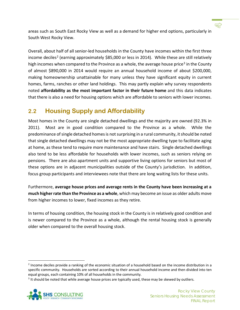areas such as South East Rocky View as well as a demand for higher end options, particularly in South West Rocky View.

Overall, about half of all senior-led households in the County have incomes within the first three income deciles<sup>[2](#page-6-1)</sup> (earning approximately \$85,000 or less in 2014). While these are still relatively high incomes when compared to the Province as a whole, the average house price<sup>[3](#page-6-2)</sup> in the County of almost \$890,000 in 2014 would require an annual household income of about \$200,000, making homeownership unattainable for many unless they have significant equity in current homes, farms, ranches or other land holdings. This may partly explain why survey respondents noted **affordability as the most important factor in their future home** and this data indicates that there is also a need for housing options which are affordable to seniors with lower incomes.

# <span id="page-6-0"></span>**2.2 Housing Supply and Affordability**

Most homes in the County are single detached dwellings and the majority are owned (92.3% in 2011). Most are in good condition compared to the Province as a whole. While the predominance of single detached homes is not surprising in a rural community, it should be noted that single detached dwellings may not be the most appropriate dwelling type to facilitate aging at home, as these tend to require more maintenance and have stairs. Single detached dwellings also tend to be less affordable for households with lower incomes, such as seniors relying on pensions. There are also apartment units and supportive living options for seniors but most of these options are in adjacent municipalities outside of the County's jurisdiction. In addition, focus group participants and interviewees note that there are long waiting lists for these units.

Furthermore, **average house prices and average rents in the County have been increasing at a much higher rate than the Province as a whole**, which may become an issue as older adults move from higher incomes to lower, fixed incomes as they retire.

In terms of housing condition, the housing stock in the County is in relatively good condition and is newer compared to the Province as a whole, although the rental housing stock is generally older when compared to the overall housing stock.

<span id="page-6-2"></span><sup>&</sup>lt;sup>3</sup> It should be noted that while average house prices are typically used, these may be skewed by outliers.



⊲ੇ

<span id="page-6-1"></span><sup>&</sup>lt;sup>2</sup> Income deciles provide a ranking of the economic situation of a household based on the income distribution in a specific community. Households are sorted according to their annual household income and then divided into ten equal groups, each containing 10% of all households in the community.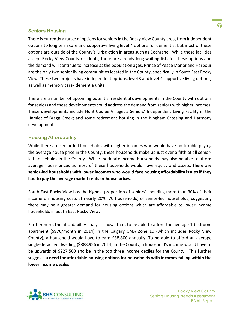#### **Seniors Housing**

There is currently a range of options for seniors in the Rocky View County area, from independent options to long term care and supportive living level 4 options for dementia, but most of these options are outside of the County's jurisdiction in areas such as Cochrane. While these facilities accept Rocky View County residents, there are already long waiting lists for these options and the demand will continue to increase as the population ages. Prince of Peace Manor and Harbour are the only two senior living communities located in the County, specifically in South East Rocky View. These two projects have independent options, level 3 and level 4 supportive living options, as well as memory care/ dementia units.

There are a number of upcoming potential residential developments in the County with options for seniors and these developments could address the demand from seniors with higher incomes. These developments include Hunt Coulee Village; a Seniors' Independent Living Facility in the Hamlet of Bragg Creek; and some retirement housing in the Bingham Crossing and Harmony developments.

#### **Housing Affordability**

While there are senior-led households with higher incomes who would have no trouble paying the average house price in the County, these households make up just over a fifth of all seniorled households in the County. While moderate income households may also be able to afford average house prices as most of these households would have equity and assets, **there are senior-led households with lower incomes who would face housing affordability issues if they had to pay the average market rents or house prices**.

South East Rocky View has the highest proportion of seniors' spending more than 30% of their income on housing costs at nearly 20% (70 households) of senior-led households, suggesting there may be a greater demand for housing options which are affordable to lower income households in South East Rocky View.

Furthermore, the affordability analysis shows that, to be able to afford the average 1-bedroom apartment (\$970/month in 2014) in the Calgary CMA Zone 10 (which includes Rocky View County), a household would have to earn \$38,800 annually. To be able to afford an average single-detached dwelling (\$888,956 in 2014) in the County, a household's income would have to be upwards of \$227,500 and be in the top three income deciles for the County. This further suggests a **need for affordable housing options for households with incomes falling within the lower income deciles**.

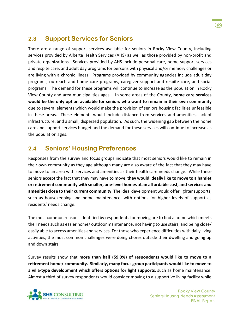# <span id="page-8-0"></span>**2.3 Support Services for Seniors**

There are a range of support services available for seniors in Rocky View County, including services provided by Alberta Health Services (AHS) as well as those provided by non-profit and private organizations. Services provided by AHS include personal care, home support services and respite care, and adult day programs for persons with physical and/or memory challenges or are living with a chronic illness. Programs provided by community agencies include adult day programs, outreach and home care programs, caregiver support and respite care, and social programs. The demand for these programs will continue to increase as the population in Rocky View County and area municipalities ages. In some areas of the County, **home care services would be the only option available for seniors who want to remain in their own community** due to several elements which would make the provision of seniors housing facilities unfeasible in these areas. These elements would include distance from services and amenities, lack of infrastructure, and a small, dispersed population. As such, the widening gap between the home care and support services budget and the demand for these services will continue to increase as the population ages.

# <span id="page-8-1"></span>**2.4 Seniors' Housing Preferences**

Responses from the survey and focus groups indicate that most seniors would like to remain in their own community as they age although many are also aware of the fact that they may have to move to an area with services and amenities as their health care needs change. While these seniors accept the fact that they may have to move, **they would ideally like to move to a hamlet or retirement community with smaller, one-level homes at an affordable cost, and services and amenities close to their current community**. The ideal development would offer lighter supports, such as housekeeping and home maintenance, with options for higher levels of support as residents' needs change.

The most common reasons identified by respondents for moving are to find a home which meets their needs such as easier home/ outdoor maintenance, not having to use stairs, and being close/ easily able to access amenities and services. For those who experience difficulties with daily living activities, the most common challenges were doing chores outside their dwelling and going up and down stairs.

Survey results show that **more than half (59.0%) of respondents would like to move to a retirement home/ community. Similarly, many focus group participants would like to move to a villa-type development which offers options for light supports**, such as home maintenance. Almost a third of survey respondents would consider moving to a supportive living facility while

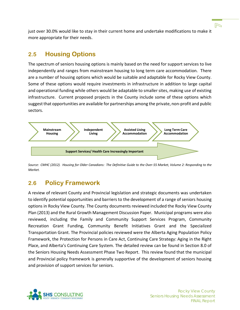just over 30.0% would like to stay in their current home and undertake modifications to make it more appropriate for their needs.

### <span id="page-9-0"></span>**2.5 Housing Options**

The spectrum of seniors housing options is mainly based on the need for support services to live independently and ranges from mainstream housing to long term care accommodation. There are a number of housing options which would be suitable and adaptable for Rocky View County. Some of these options would require investments in infrastructure in addition to large capital and operational funding while others would be adaptable to smaller sites, making use of existing infrastructure. Current proposed projects in the County include some of these options which suggest that opportunities are available for partnerships among the private, non-profit and public sectors.



*Source: CMHC (2012). Housing for Older Canadians: The Definitive Guide to the Over-55 Market, Volume 2: Responding to the Market.*

# <span id="page-9-1"></span>**2.6 Policy Framework**

A review of relevant County and Provincial legislation and strategic documents was undertaken to identify potential opportunities and barriers to the development of a range of seniors housing options in Rocky View County. The County documents reviewed included the Rocky View County Plan (2013) and the Rural Growth Management Discussion Paper. Municipal programs were also reviewed, including the Family and Community Support Services Program, Community Recreation Grant Funding, Community Benefit Initiatives Grant and the Specialized Transportation Grant. The Provincial policies reviewed were the Alberta Aging Population Policy Framework, the Protection for Persons in Care Act, Continuing Care Strategy: Aging in the Right Place, and Alberta's Continuing Care System. The detailed review can be found in Section 8.0 of the Seniors Housing Needs Assessment Phase Two Report. This review found that the municipal and Provincial policy framework is generally supportive of the development of seniors housing and provision of support services for seniors.

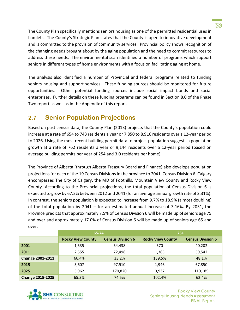The County Plan specifically mentions seniors housing as one of the permitted residential uses in hamlets. The County's Strategic Plan states that the County is open to innovative development and is committed to the provision of community services. Provincial policy shows recognition of the changing needs brought about by the aging population and the need to commit resources to address these needs. The environmental scan identified a number of programs which support seniors in different types of home environments with a focus on facilitating aging at home.

The analysis also identified a number of Provincial and federal programs related to funding seniors housing and support services. These funding sources should be monitored for future opportunities. Other potential funding sources include social impact bonds and social enterprises. Further details on these funding programs can be found in Section 8.0 of the Phase Two report as well as in the Appendix of this report.

# <span id="page-10-0"></span>**2.7 Senior Population Projections**

Based on past census data, the County Plan (2013) projects that the County's population could increase at a rate of 654 to 743 residents a year or 7,850 to 8,916 residents over a 12-year period to 2026. Using the most recent building permit data to project population suggests a population growth at a rate of 762 residents a year or 9,144 residents over a 12-year period (based on average building permits per year of 254 and 3.0 residents per home).

The Province of Alberta (through Alberta Treasury Board and Finance) also develops population projections for each of the 19 Census Divisions in the province to 2041. Census Division 6: Calgary encompasses The City of Calgary, the MD of Foothills, Mountain View County and Rocky View County. According to the Provincial projections, the total population of Census Division 6 is expected to grow by 67.2% between 2012 and 2041 (for an average annual growth rate of 2.31%). In contrast, the seniors population is expected to increase from 9.7% to 18.9% (almost doubling) of the total population by 2041 – for an estimated annual increase of 3.16%. By 2031, the Province predicts that approximately 7.5% of Census Division 6 will be made up of seniors age 75 and over and approximately 17.0% of Census Division 6 will be made up of seniors age 65 and over.

|                         | 65-74                    |                          | $75+$                    |                          |
|-------------------------|--------------------------|--------------------------|--------------------------|--------------------------|
|                         | <b>Rocky View County</b> | <b>Census Division 6</b> | <b>Rocky View County</b> | <b>Census Division 6</b> |
| 2001                    | 1,535                    | 54,438                   | 570                      | 40,202                   |
| 2011                    | 2,555                    | 72,498                   | 1,365                    | 59,542                   |
| <b>Change 2001-2011</b> | 66.4%                    | 33.2%                    | 139.5%                   | 48.1%                    |
| 2015                    | 3,607                    | 97,910                   | 1,946                    | 67,850                   |
| 2025                    | 5,962                    | 170,820                  | 3,937                    | 110,185                  |
| <b>Change 2015-2025</b> | 65.3%                    | 74.5%                    | 102.4%                   | 62.4%                    |



 $\odot$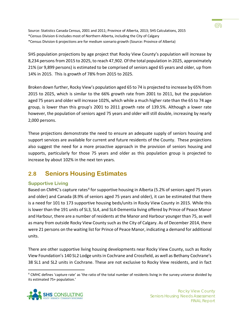Source: Statistics Canada Census, 2001 and 2011; Province of Alberta, 2013; SHS Calculations, 2015 \*Census Division 6 includes most of Northern Alberta, including the City of Calgary \*Census Division 6 projections are for medium scenario growth (Source: Province of Alberta)

SHS population projections by age project that Rocky View County's population will increase by 8,234 persons from 2015 to 2025, to reach 47,902. Of the total population in 2025, approximately 21% (or 9,899 persons) is estimated to be comprised of seniors aged 65 years and older, up from 14% in 2015. This is growth of 78% from 2015 to 2025.

Broken down further, Rocky View's population aged 65 to 74 is projected to increase by 65% from 2015 to 2025, which is similar to the 66% growth rate from 2001 to 2011, but the population aged 75 years and older will increase 102%, which while a much higher rate than the 65 to 74 age group, is lower than this group's 2001 to 2011 growth rate of 139.5%. Although a lower rate however, the population of seniors aged 75 years and older will still double, increasing by nearly 2,000 persons.

These projections demonstrate the need to ensure an adequate supply of seniors housing and support services are available for current and future residents of the County. These projections also suggest the need for a more proactive approach in the provision of seniors housing and supports, particularly for those 75 years and older as this population group is projected to increase by about 102% in the next ten years.

# <span id="page-11-0"></span>**2.8 Seniors Housing Estimates**

#### **Supportive Living**

Based on CMHC's capture rates<sup>[4](#page-11-1)</sup> for supportive housing in Alberta (5.2% of seniors aged 75 years and older) and Canada (8.9% of seniors aged 75 years and older), it can be estimated that there is a need for 101 to 173 supportive housing beds/units in Rocky View County in 2015. While this is lower than the 191 units of SL3, SL4, and SL4-Dementia living offered by Prince of Peace Manor and Harbour, there are a number of residents at the Manor and Harbour younger than 75, as well as many from outside Rocky View County such as the City of Calgary. As of December 2014, there were 21 persons on the waiting list for Prince of Peace Manor, indicating a demand for additional units.

There are other supportive living housing developments near Rocky View County, such as Rocky View Foundation's 140 SL2 Lodge units in Cochrane and Crossfield, as well as Bethany Cochrane's 38 SL1 and SL2 units in Cochrane. These are not exclusive to Rocky View residents, and in fact

<span id="page-11-1"></span><sup>&</sup>lt;sup>4</sup> CMHC defines 'capture rate' as 'the ratio of the total number of residents living in the survey universe divided by its estimated 75+ population.'



෩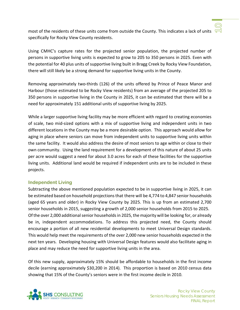

most of the residents of these units come from outside the County. This indicates a lack of units  $\sqrt{5}$ specifically for Rocky View County residents.

Using CMHC's capture rates for the projected senior population, the projected number of persons in supportive living units is expected to grow to 205 to 350 persons in 2025. Even with the potential for 40 plus units of supportive living built in Bragg Creek by Rocky View Foundation, there will still likely be a strong demand for supportive living units in the County.

Removing approximately two-thirds (126) of the units offered by Prince of Peace Manor and Harbour (those estimated to be Rocky View residents) from an average of the projected 205 to 350 persons in supportive living in the County in 2025, it can be estimated that there will be a need for approximately 151 additional units of supportive living by 2025.

While a larger supportive living facility may be more efficient with regard to creating economies of scale, two mid-sized options with a mix of supportive living and independent units in two different locations in the County may be a more desirable option. This approach would allow for aging in place where seniors can move from independent units to supportive living units within the same facility. It would also address the desire of most seniors to age within or close to their own community. Using the land requirement for a development of this nature of about 25 units per acre would suggest a need for about 3.0 acres for each of these facilities for the supportive living units. Additional land would be required if independent units are to be included in these projects.

#### **Independent Living**

Subtracting the above mentioned population expected to be in supportive living in 2025, it can be estimated based on household projections that there will be 4,774 to 4,847 senior households (aged 65 years and older) in Rocky View County by 2025. This is up from an estimated 2,700 senior households in 2015, suggesting a growth of 2,000 senior households from 2015 to 2025. Of the over 2,000 additional senior households in 2025, the majority will be looking for, or already be in, independent accommodations. To address this projected need, the County should encourage a portion of all new residential developments to meet Universal Design standards. This would help meet the requirements of the over 2,000 new senior households expected in the next ten years. Developing housing with Universal Design features would also facilitate aging in place and may reduce the need for supportive living units in the area.

Of this new supply, approximately 15% should be affordable to households in the first income decile (earning approximately \$30,200 in 2014). This proportion is based on 2010 census data showing that 15% of the County's seniors were in the first income decile in 2010.

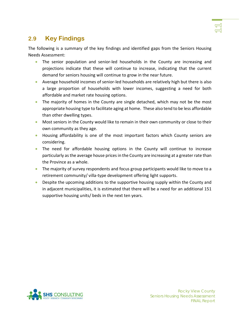# <span id="page-13-0"></span>**2.9 Key Findings**

The following is a summary of the key findings and identified gaps from the Seniors Housing Needs Assessment:

- The senior population and senior-led households in the County are increasing and projections indicate that these will continue to increase, indicating that the current demand for seniors housing will continue to grow in the near future.
- Average household incomes of senior-led households are relatively high but there is also a large proportion of households with lower incomes, suggesting a need for both affordable and market rate housing options.
- The majority of homes in the County are single detached, which may not be the most appropriate housing type to facilitate aging at home. These also tend to be less affordable than other dwelling types.
- Most seniors in the County would like to remain in their own community or close to their own community as they age.
- Housing affordability is one of the most important factors which County seniors are considering.
- The need for affordable housing options in the County will continue to increase particularly as the average house prices in the County are increasing at a greater rate than the Province as a whole.
- The majority of survey respondents and focus group participants would like to move to a retirement community/ villa-type development offering light supports.
- Despite the upcoming additions to the supportive housing supply within the County and in adjacent municipalities, it is estimated that there will be a need for an additional 151 supportive housing units/ beds in the next ten years.

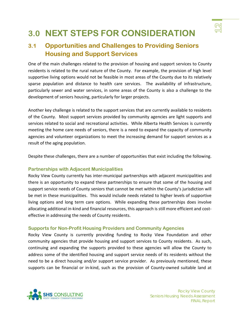

# <span id="page-14-0"></span>**3.0 NEXT STEPS FOR CONSIDERATION**

# <span id="page-14-1"></span>**3.1 Opportunities and Challenges to Providing Seniors Housing and Support Services**

One of the main challenges related to the provision of housing and support services to County residents is related to the rural nature of the County. For example, the provision of high level supportive living options would not be feasible in most areas of the County due to its relatively sparse population and distance to health care services. The availability of infrastructure, particularly sewer and water services, in some areas of the County is also a challenge to the development of seniors housing, particularly for larger projects.

Another key challenge is related to the support services that are currently available to residents of the County. Most support services provided by community agencies are light supports and services related to social and recreational activities. While Alberta Health Services is currently meeting the home care needs of seniors, there is a need to expand the capacity of community agencies and volunteer organizations to meet the increasing demand for support services as a result of the aging population.

Despite these challenges, there are a number of opportunities that exist including the following.

#### **Partnerships with Adjacent Municipalities**

Rocky View County currently has inter-municipal partnerships with adjacent municipalities and there is an opportunity to expand these partnerships to ensure that some of the housing and support service needs of County seniors that cannot be met within the County's jurisdiction will be met in these municipalities. This would include needs related to higher levels of supportive living options and long term care options. While expanding these partnerships does involve allocating additional in-kind and financial resources, this approach is still more efficient and costeffective in addressing the needs of County residents.

#### **Supports for Non-Profit Housing Providers and Community Agencies**

Rocky View County is currently providing funding to Rocky View Foundation and other community agencies that provide housing and support services to County residents. As such, continuing and expanding the supports provided to these agencies will allow the County to address some of the identified housing and support service needs of its residents without the need to be a direct housing and/or support service provider. As previously mentioned, these supports can be financial or in-kind, such as the provision of County-owned suitable land at

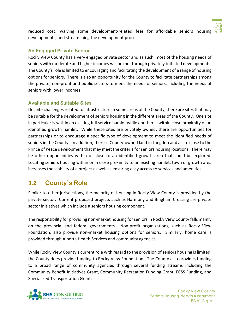reduced cost, waiving some development-related fees for affordable seniors housing  $\sqrt{-1}$ developments, and streamlining the development process.

#### **An Engaged Private Sector**

Rocky View County has a very engaged private sector and as such, most of the housing needs of seniors with moderate and higher incomes will be met through privately-initiated developments. The County's role is limited to encouraging and facilitating the development of a range of housing options for seniors. There is also an opportunity for the County to facilitate partnerships among the private, non-profit and public sectors to meet the needs of seniors, including the needs of seniors with lower incomes.

#### **Available and Suitable Sites**

Despite challenges related to infrastructure in some areas of the County, there are sites that may be suitable for the development of seniors housing in the different areas of the County. One site in particular is within an existing full service hamlet while another is within close proximity of an identified growth hamlet. While these sites are privately owned, there are opportunities for partnerships or to encourage a specific type of development to meet the identified needs of seniors in the County. In addition, there is County-owned land in Langdon and a site close to the Prince of Peace development that may meet the criteria for seniors housing locations. There may be other opportunities within or close to an identified growth area that could be explored. Locating seniors housing within or in close proximity to an existing hamlet, town or growth area increases the viability of a project as well as ensuring easy access to services and amenities.

# <span id="page-15-0"></span>**3.2 County's Role**

Similar to other jurisdictions, the majority of housing in Rocky View County is provided by the private sector. Current proposed projects such as Harmony and Bingham Crossing are private sector initiatives which include a seniors housing component.

The responsibility for providing non-market housing for seniors in Rocky View County falls mainly on the provincial and federal governments. Non-profit organizations, such as Rocky View Foundation, also provide non-market housing options for seniors. Similarly, home care is provided through Alberta Health Services and community agencies.

While Rocky View County's current role with regard to the provision of seniors housing is limited, the County does provide funding to Rocky View Foundation. The County also provides funding to a broad range of community agencies through several funding streams including the Community Benefit Initiatives Grant, Community Recreation Funding Grant, FCSS Funding, and Specialized Transportation Grant.



ന്ത്ര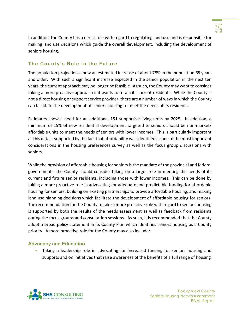

In addition, the County has a direct role with regard to regulating land use and is responsible for making land use decisions which guide the overall development, including the development of seniors housing.

#### **The County's Role in the Future**

The population projections show an estimated increase of about 78% in the population 65 years and older. With such a significant increase expected in the senior population in the next ten years, the current approach may no longer be feasible. As such, the County may want to consider taking a more proactive approach if it wants to retain its current residents. While the County is not a direct housing or support service provider, there are a number of ways in which the County can facilitate the development of seniors housing to meet the needs of its residents.

Estimates show a need for an additional 151 supportive living units by 2025. In addition, a minimum of 15% of new residential development targeted to seniors should be non-market/ affordable units to meet the needs of seniors with lower incomes. This is particularly important as this data is supported by the fact that affordability was identified as one of the most important considerations in the housing preferences survey as well as the focus group discussions with seniors.

While the provision of affordable housing for seniors is the mandate of the provincial and federal governments, the County should consider taking on a larger role in meeting the needs of its current and future senior residents, including those with lower incomes. This can be done by taking a more proactive role in advocating for adequate and predictable funding for affordable housing for seniors, building on existing partnerships to provide affordable housing, and making land use planning decisions which facilitate the development of affordable housing for seniors. The recommendation for the County to take a more proactive role with regard to seniors housing is supported by both the results of the needs assessment as well as feedback from residents during the focus groups and consultation sessions. As such, it is recommended that the County adopt a broad policy statement in its County Plan which identifies seniors housing as a County priority. A more proactive role for the County may also include:

#### **Advocacy and Education**

• Taking a leadership role in advocating for increased funding for seniors housing and supports and on initiatives that raise awareness of the benefits of a full range of housing

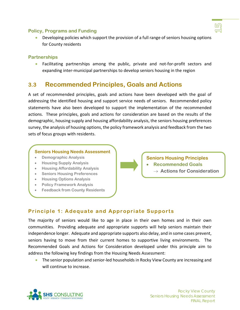#### **Policy, Programs and Funding**

• Developing policies which support the provision of a full range of seniors housing options for County residents

#### **Partnerships**

• Facilitating partnerships among the public, private and not-for-profit sectors and expanding inter-municipal partnerships to develop seniors housing in the region

# <span id="page-17-0"></span>**3.3 Recommended Principles, Goals and Actions**

A set of recommended principles, goals and actions have been developed with the goal of addressing the identified housing and support service needs of seniors. Recommended policy statements have also been developed to support the implementation of the recommended actions. These principles, goals and actions for consideration are based on the results of the demographic, housing supply and housing affordability analysis, the seniors housing preferences survey, the analysis of housing options, the policy framework analysis and feedback from the two sets of focus groups with residents.

#### **Seniors Housing Needs Assessment**

- **Demographic Analysis**
- **Housing Supply Analysis**
- **Housing Affordability Analysis**
- **Seniors Housing Preferences**
- **Housing Options Analysis**
- **Policy Framework Analysis**
- **Feedback from County Residents**

**Seniors Housing Principles**

- **Recommended Goals**
	- → **Actions for Consideration**

#### **Principle 1: Adequate and Appropriate Supports**

The majority of seniors would like to age in place in their own homes and in their own communities. Providing adequate and appropriate supports will help seniors maintain their independence longer. Adequate and appropriate supports also delay, and in some cases prevent, seniors having to move from their current homes to supportive living environments. The Recommended Goals and Actions for Consideration developed under this principle aim to address the following key findings from the Housing Needs Assessment:

• The senior population and senior-led households in Rocky View County are increasing and will continue to increase.

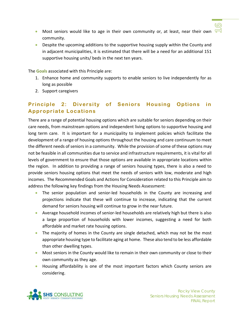

- Most seniors would like to age in their own community or, at least, near their own  $\sqrt{-1}$ community.
- Despite the upcoming additions to the supportive housing supply within the County and in adjacent municipalities, it is estimated that there will be a need for an additional 151 supportive housing units/ beds in the next ten years.

The **Goals** associated with this Principle are:

- 1. Enhance home and community supports to enable seniors to live independently for as long as possible
- 2. Support caregivers

### **Principle 2: Diversity of Seniors Housing Options in Appropriate Locations**

There are a range of potential housing options which are suitable for seniors depending on their care needs, from mainstream options and independent living options to supportive housing and long term care. It is important for a municipality to implement policies which facilitate the development of a range of housing options throughout the housing and care continuum to meet the different needs of seniors in a community. While the provision of some of these options may not be feasible in all communities due to service and infrastructure requirements, it is vital for all levels of government to ensure that those options are available in appropriate locations within the region. In addition to providing a range of seniors housing types, there is also a need to provide seniors housing options that meet the needs of seniors with low, moderate and high incomes. The Recommended Goals and Actions for Consideration related to this Principle aim to address the following key findings from the Housing Needs Assessment:

- The senior population and senior-led households in the County are increasing and projections indicate that these will continue to increase, indicating that the current demand for seniors housing will continue to grow in the near future.
- Average household incomes of senior-led households are relatively high but there is also a large proportion of households with lower incomes, suggesting a need for both affordable and market rate housing options.
- The majority of homes in the County are single detached, which may not be the most appropriate housing type to facilitate aging at home. These also tend to be less affordable than other dwelling types.
- Most seniors in the County would like to remain in their own community or close to their own community as they age.
- Housing affordability is one of the most important factors which County seniors are considering.

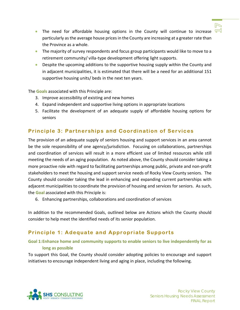

- The need for affordable housing options in the County will continue to increase  $\sqrt{-1}$ particularly as the average house prices in the County are increasing at a greater rate than the Province as a whole.
- The majority of survey respondents and focus group participants would like to move to a retirement community/ villa-type development offering light supports.
- Despite the upcoming additions to the supportive housing supply within the County and in adjacent municipalities, it is estimated that there will be a need for an additional 151 supportive housing units/ beds in the next ten years.

The **Goals** associated with this Principle are:

- 3. Improve accessibility of existing and new homes
- 4. Expand independent and supportive living options in appropriate locations
- 5. Facilitate the development of an adequate supply of affordable housing options for seniors

#### **Principle 3: Partnerships and Coordination of Services**

The provision of an adequate supply of seniors housing and support services in an area cannot be the sole responsibility of one agency/jurisdiction. Focusing on collaborations, partnerships and coordination of services will result in a more efficient use of limited resources while still meeting the needs of an aging population. As noted above, the County should consider taking a more proactive role with regard to facilitating partnerships among public, private and non-profit stakeholders to meet the housing and support service needs of Rocky View County seniors. The County should consider taking the lead in enhancing and expanding current partnerships with adjacent municipalities to coordinate the provision of housing and services for seniors. As such, the **Goal** associated with this Principle is:

6. Enhancing partnerships, collaborations and coordination of services

In addition to the recommended Goals, outlined below are Actions which the County should consider to help meet the identified needs of its senior population.

#### **Principle 1: Adequate and Appropriate Supports**

#### **Goal 1:Enhance home and community supports to enable seniors to live independently for as long as possible**

To support this Goal, the County should consider adopting policies to encourage and support initiatives to encourage independent living and aging in place, including the following.

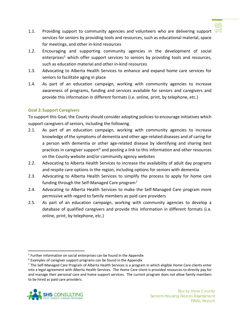

- 1.1. Providing support to community agencies and volunteers who are delivering support  $\sqrt{-1}$ services for seniors by providing tools and resources, such as educational material, space for meetings, and other in-kind resources
- 1.2. Encouraging and supporting community agencies in the development of social enterprises<sup>[5](#page-20-0)</sup> which offer support services to seniors by providing tools and resources, such as education material and other in-kind resources
- 1.3. Advocating to Alberta Health Services to enhance and expand home care services for seniors to facilitate aging in place
- 1.4. As part of an education campaign, working with community agencies to increase awareness of programs, funding and services available for seniors and caregivers and provide this information in different formats (i.e. online, print, by telephone, etc.)

#### **Goal 2:Support Caregivers**

To support this Goal, the County should consider adopting policies to encourage initiatives which support caregivers of seniors, including the following.

- 2.1. As part of an education campaign, working with community agencies to increase knowledge of the symptoms of dementia and other age-related diseases and of caring for a person with dementia or other age-related disease by identifying and sharing best practices in caregiver support<sup>[6](#page-20-1)</sup> and posting a link to this information and other resources on the County website and/or community agency websites
- 2.2. Advocating to Alberta Health Services to increase the availability of adult day programs and respite care options in the region, including options for seniors with dementia
- 2.3. Advocating to Alberta Health Services to simplify the process to apply for home care funding through the Self-Managed Care program[7](#page-20-2)
- 2.4. Advocating to Alberta Health Services to make the Self-Managed Care program more permissive with regard to family members as paid care providers
- 2.5. As part of an education campaign, working with community agencies to develop a database of qualified caregivers and provide this information in different formats (i.e. online, print, by telephone, etc.)

<span id="page-20-2"></span><span id="page-20-1"></span><span id="page-20-0"></span> $7$  The Self-Managed Care Program of Alberta Health Services is a program in which eligible Home Care clients enter into a legal agreement with Alberta Health Services. The Home Care client is provided resources to directly pay for and manage their personal care and home support services. The current program does not allow family members to be hired as paid care providers.



<sup>&</sup>lt;sup>5</sup> Further information on social enterprises can be found in the Appendix

<sup>&</sup>lt;sup>6</sup> Examples of caregiver support programs can be found in the Appendix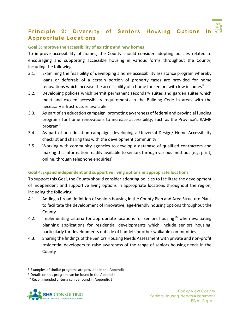### **Principle 2: Diversity of Seniors Housing Options in Appropriate Locations**

#### **Goal 3:Improve the accessibility of existing and new homes**

To improve accessibility of homes, the County should consider adopting policies related to encouraging and supporting accessible housing in various forms throughout the County, including the following.

- 3.1. Examining the feasibility of developing a home accessibility assistance program whereby loans or deferrals of a certain portion of property taxes are provided for home renovations which increase the accessibility of a home for seniors with low incomes<sup>[8](#page-21-0)</sup>
- 3.2. Developing policies which permit permanent secondary suites and garden suites which meet and exceed accessibility requirements in the Building Code in areas with the necessary infrastructure available
- 3.3. As part of an education campaign, promoting awareness of federal and provincial funding programs for home renovations to increase accessibility, such as the Province's RAMP program<sup>[9](#page-21-1)</sup>
- 3.4. As part of an education campaign, developing a Universal Design/ Home Accessibility checklist and sharing this with the development community
- 3.5. Working with community agencies to develop a database of qualified contractors and making this information readily available to seniors through various methods (e.g. print, online, through telephone enquiries)

#### **Goal 4:Expand independent and supportive living options in appropriate locations**

To support this Goal, the County should consider adopting policies to facilitate the development of independent and supportive living options in appropriate locations throughout the region, including the following.

- 4.1. Adding a broad definition of seniors housing in the County Plan and Area Structure Plans to facilitate the development of innovative, age-friendly housing options throughout the County
- 4.2. Implementing criteria for appropriate locations for seniors housing<sup>[10](#page-21-2)</sup> when evaluating planning applications for residential developments which include seniors housing, particularly for developments outside of hamlets or other walkable communities
- 4.3. Sharing the findings of the Seniors Housing Needs Assessment with private and non-profit residential developers to raise awareness of the range of seniors housing needs in the County

<span id="page-21-2"></span><span id="page-21-1"></span><span id="page-21-0"></span><sup>&</sup>lt;sup>10</sup> Recommended criteria can be found in Appendix 2



 <sup>8</sup> Examples of similar programs are provided in the Appendix

 $9$  Details on this program can be found in the Appendix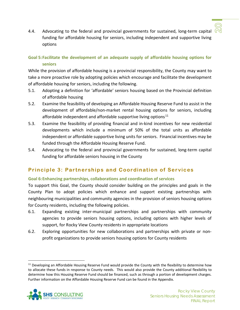

4.4. Advocating to the federal and provincial governments for sustained, long-term capital  $\sqrt{2}$ funding for affordable housing for seniors, including independent and supportive living options

#### **Goal 5:Facilitate the development of an adequate supply of affordable housing options for seniors**

While the provision of affordable housing is a provincial responsibility, the County may want to take a more proactive role by adopting policies which encourage and facilitate the development of affordable housing for seniors, including the following.

- 5.1. Adopting a definition for 'affordable' seniors housing based on the Provincial definition of affordable housing
- 5.2. Examine the feasibility of developing an Affordable Housing Reserve Fund to assist in the development of affordable/non-market rental housing options for seniors, including affordable independent and affordable supportive living options<sup>[11](#page-22-0)</sup>
- 5.3. Examine the feasibility of providing financial and in-kind incentives for new residential developments which include a minimum of 50% of the total units as affordable independent or affordable supportive living units for seniors. Financial incentives may be funded through the Affordable Housing Reserve Fund.
- 5.4. Advocating to the federal and provincial governments for sustained, long-term capital funding for affordable seniors housing in the County

### **Principle 3: Partnerships and Coordination of Services**

#### **Goal 6:Enhancing partnerships, collaborations and coordination of services**

To support this Goal, the County should consider building on the principles and goals in the County Plan to adopt policies which enhance and support existing partnerships with neighbouring municipalities and community agencies in the provision of seniors housing options for County residents, including the following policies.

- 6.1. Expanding existing inter-municipal partnerships and partnerships with community agencies to provide seniors housing options, including options with higher levels of support, for Rocky View County residents in appropriate locations
- 6.2. Exploring opportunities for new collaborations and partnerships with private or nonprofit organizations to provide seniors housing options for County residents

<span id="page-22-0"></span><sup>&</sup>lt;sup>11</sup> Developing an Affordable Housing Reserve Fund would provide the County with the flexibility to determine how to allocate these funds in response to County needs. This would also provide the County additional flexibility to determine how this Housing Reserve Fund should be financed, such as through a portion of development charges. Further information on the Affordable Housing Reserve Fund can be found in the Appendix.

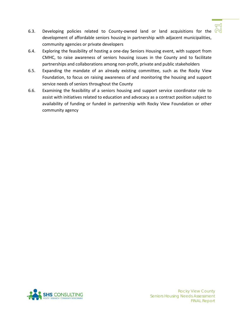

- 6.3. Developing policies related to County-owned land or land acquisitions for the  $\mathbb N$ development of affordable seniors housing in partnership with adjacent municipalities, community agencies or private developers
- 6.4. Exploring the feasibility of hosting a one-day Seniors Housing event, with support from CMHC, to raise awareness of seniors housing issues in the County and to facilitate partnerships and collaborations among non-profit, private and public stakeholders
- 6.5. Expanding the mandate of an already existing committee, such as the Rocky View Foundation, to focus on raising awareness of and monitoring the housing and support service needs of seniors throughout the County
- 6.6. Examining the feasibility of a seniors housing and support service coordinator role to assist with initiatives related to education and advocacy as a contract position subject to availability of funding or funded in partnership with Rocky View Foundation or other community agency

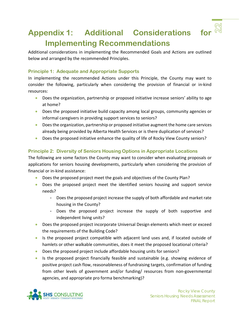# <span id="page-24-0"></span>**Appendix 1: Additional Considerations for Implementing Recommendations**

Additional considerations in implementing the Recommended Goals and Actions are outlined below and arranged by the recommended Principles.

#### **Principle 1: Adequate and Appropriate Supports**

In implementing the recommended Actions under this Principle, the County may want to consider the following, particularly when considering the provision of financial or in-kind resources:

- Does the organization, partnership or proposed initiative increase seniors' ability to age at home?
- Does the proposed initiative build capacity among local groups, community agencies or informal caregivers in providing support services to seniors?
- Does the organization, partnership or proposed initiative augment the home care services already being provided by Alberta Health Services or is there duplication of services?
- Does the proposed initiative enhance the quality of life of Rocky View County seniors?

#### **Principle 2: Diversity of Seniors Housing Options in Appropriate Locations**

The following are some factors the County may want to consider when evaluating proposals or applications for seniors housing developments, particularly when considering the provision of financial or in-kind assistance:

- Does the proposed project meet the goals and objectives of the County Plan?
- Does the proposed project meet the identified seniors housing and support service needs?
	- Does the proposed project increase the supply of both affordable and market rate housing in the County?
	- Does the proposed project increase the supply of both supportive and independent living units?
- Does the proposed project incorporate Universal Design elements which meet or exceed the requirements of the Building Code?
- Is the proposed project compatible with adjacent land uses and, if located outside of hamlets or other walkable communities, does it meet the proposed locational criteria?
- Does the proposed project include affordable housing units for seniors?
- Is the proposed project financially feasible and sustainable (e.g. showing evidence of positive project cash flow, reasonableness of fundraising targets, confirmation of funding from other levels of government and/or funding/ resources from non-governmental agencies, and appropriate pro forma benchmarking)?

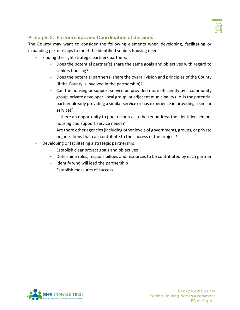

#### **Principle 3: Partnerships and Coordination of Services**

The County may want to consider the following elements when developing, facilitating or expanding partnerships to meet the identified seniors housing needs:

- Finding the right strategic partner/ partners:
	- Does the potential partner(s) share the same goals and objectives with regard to seniors housing?
	- Does the potential partner(s) share the overall vision and principles of the County (if the County is involved in the partnership)?
	- Can the housing or support service be provided more efficiently by a community group, private developer, local group, or adjacent municipality (i.e. is the potential partner already providing a similar service or has experience in providing a similar service)?
	- Is there an opportunity to pool resources to better address the identified seniors housing and support service needs?
	- Are there other agencies (including other levels of government), groups, or private organizations that can contribute to the success of the project?
- Developing or facilitating a strategic partnership:
	- Establish clear project goals and objectives
	- Determine roles, responsibilities and resources to be contributed by each partner
	- Identify who will lead the partnership
	- Establish measures of success

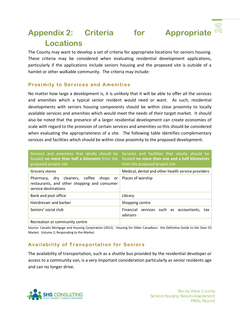# <span id="page-26-0"></span>**Appendix 2: Criteria for Appropriate Locations**

The County may want to develop a set of criteria for appropriate locations for seniors housing. These criteria may be considered when evaluating residential development applications, particularly if the applications include seniors housing and the proposed site is outside of a hamlet or other walkable community. The criteria may include:

#### **Proximity to Services and Amenities**

No matter how large a development is, it is unlikely that it will be able to offer all the services and amenities which a typical senior resident would need or want. As such, residential developments with seniors housing components should be within close proximity to locally available services and amenities which would meet the needs of their target market. It should also be noted that the presence of a larger residential development can create economies of scale with regard to the provision of certain services and amenities so this should be considered when evaluating the appropriateness of a site. The following table identifies complementary services and facilities which should be within close proximity to the proposed development.

| located no more than half a kilometre from the<br>proposed project site                                         | Services and amenities that ideally should be Services and facilities that ideally should be<br>located no more than one and a half kilometres<br>from the proposed project site |
|-----------------------------------------------------------------------------------------------------------------|----------------------------------------------------------------------------------------------------------------------------------------------------------------------------------|
| Grocery stores                                                                                                  | Medical, dental and other health service providers                                                                                                                               |
| Pharmacy, dry cleaners, coffee shops or<br>restaurants, and other shopping and consumer<br>service destinations | Places of worship                                                                                                                                                                |
| Bank and post office                                                                                            | Library                                                                                                                                                                          |
| Hairdresser and barber                                                                                          | Shopping centre                                                                                                                                                                  |
| Seniors' social club                                                                                            | Financial services such as accountants, tax<br>advisors                                                                                                                          |
| Recreation or community centre                                                                                  |                                                                                                                                                                                  |

Source: Canada Mortgage and Housing Corporation (2012). Housing for Older Canadians: the Definitive Guide to the Over-55 Market. Volume 2, Responding to the Market.

#### **Availability of Transportation for Seniors**

The availability of transportation, such as a shuttle bus provided by the residential developer or access to a community van, is a very important consideration particularly as senior residents age and can no longer drive.

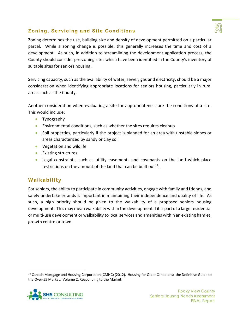

#### **Zoning, Servicing and Site Conditions**

Zoning determines the use, building size and density of development permitted on a particular parcel. While a zoning change is possible, this generally increases the time and cost of a development. As such, in addition to streamlining the development application process, the County should consider pre-zoning sites which have been identified in the County's inventory of suitable sites for seniors housing.

Servicing capacity, such as the availability of water, sewer, gas and electricity, should be a major consideration when identifying appropriate locations for seniors housing, particularly in rural areas such as the County.

Another consideration when evaluating a site for appropriateness are the conditions of a site. This would include:

- Typography
- Environmental conditions, such as whether the sites requires cleanup
- Soil properties, particularly if the project is planned for an area with unstable slopes or areas characterized by sandy or clay soil
- Vegetation and wildlife
- Existing structures
- Legal constraints, such as utility easements and covenants on the land which place restrictions on the amount of the land that can be built out  $12$ .

#### **Walkability**

For seniors, the ability to participate in community activities, engage with family and friends, and safely undertake errands is important in maintaining their independence and quality of life. As such, a high priority should be given to the walkability of a proposed seniors housing development. This may mean walkability within the development if it is part of a large residential or multi-use development or walkability to local services and amenities within an existing hamlet, growth centre or town.

<span id="page-27-0"></span> $12$  Canada Mortgage and Housing Corporation (CMHC) (2012). Housing for Older Canadians: the Definitive Guide to the Over-55 Market. Volume 2, Responding to the Market.

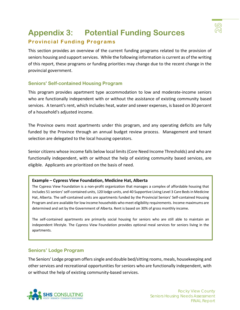

# <span id="page-28-0"></span>**Appendix 3: Potential Funding Sources Provincial Funding Programs**

This section provides an overview of the current funding programs related to the provision of seniors housing and support services. While the following information is current as of the writing of this report, these programs or funding priorities may change due to the recent change in the provincial government.

#### **Seniors' Self-contained Housing Program**

This program provides apartment type accommodation to low and moderate-income seniors who are functionally independent with or without the assistance of existing community based services. A tenant's rent, which includes heat, water and sewer expenses, is based on 30 percent of a household's adjusted income.

The Province owns most apartments under this program, and any operating deficits are fully funded by the Province through an annual budget review process. Management and tenant selection are delegated to the local housing operators.

Senior citizens whose income falls below local limits (Core Need Income Thresholds) and who are functionally independent, with or without the help of existing community based services, are eligible. Applicants are prioritized on the basis of need.

#### **Example – Cypress View Foundation, Medicine Hat, Alberta**

The Cypress View Foundation is a non-profit organization that manages a complex of affordable housing that includes 51 seniors' self-contained units, 120 lodge units, and 40 Supportive Living Level 3 Care Beds in Medicine Hat, Alberta. The self-contained units are apartments funded by the Provincial Seniors' Self-contained Housing Program and are available for low income households who meet eligibility requirements. Income maximums are determined and set by the Government of Alberta. Rent is based on 30% of gross monthly income.

The self-contained apartments are primarily social housing for seniors who are still able to maintain an independent lifestyle. The Cypress View Foundation provides optional meal services for seniors living in the apartments.

#### **Seniors' Lodge Program**

The Seniors' Lodge program offers single and double bed/sitting rooms, meals, housekeeping and other services and recreational opportunities for seniors who are functionally independent, with or without the help of existing community-based services.

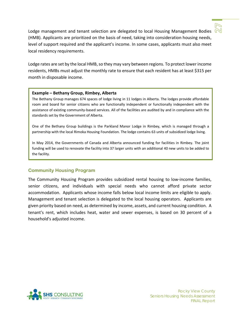

Lodge management and tenant selection are delegated to local Housing Management Bodies  $\mathbb{N}$ (HMB). Applicants are prioritized on the basis of need, taking into consideration housing needs, level of support required and the applicant's income. In some cases, applicants must also meet local residency requirements.

Lodge rates are set by the local HMB, so they may vary between regions. To protect lower income residents, HMBs must adjust the monthly rate to ensure that each resident has at least \$315 per month in disposable income.

#### **Example – Bethany Group, Rimbey, Alberta**

The Bethany Group manages 674 spaces of lodge living in 11 lodges in Alberta. The lodges provide affordable room and board for senior citizens who are functionally independent or functionally independent with the assistance of existing community-based services. All of the facilities are audited by and in compliance with the standards set by the Government of Alberta.

One of the Bethany Group buildings is the Parkland Manor Lodge in Rimbey, which is managed through a partnership with the local Rimoka Housing Foundation. The lodge contains 63 units of subsidized lodge living.

In May 2014, the Governments of Canada and Alberta announced funding for facilities in Rimbey. The joint funding will be used to renovate the facility into 37 larger units with an additional 40 new units to be added to the facility.

#### **Community Housing Program**

The Community Housing Program provides subsidized rental housing to low-income families, senior citizens, and individuals with special needs who cannot afford private sector accommodation. Applicants whose income falls below local income limits are eligible to apply. Management and tenant selection is delegated to the local housing operators. Applicants are given priority based on need, as determined by income, assets, and current housing condition. A tenant's rent, which includes heat, water and sewer expenses, is based on 30 percent of a household's adjusted income.

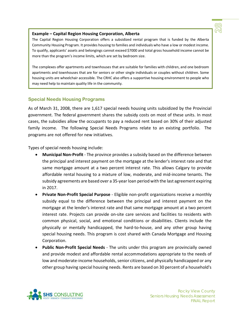

#### **Example – Capital Region Housing Corporation, Alberta**

The Capital Region Housing Corporation offers a subsidized rental program that is funded by the Alberta Community Housing Program. It provides housing to families and individuals who have a low or modest income. To qualify, applicants' assets and belongings cannot exceed \$7000 and total gross household income cannot be more than the program's income limits, which are set by bedroom size.

The complexes offer apartments and townhouses that are suitable for families with children, and one bedroom apartments and townhouses that are for seniors or other single individuals or couples without children. Some housing units are wheelchair accessible. The CRHC also offers a supportive housing environment to people who may need help to maintain quality life in the community.

#### **Special Needs Housing Programs**

As of March 31, 2008, there are 1,617 special needs housing units subsidized by the Provincial government. The federal government shares the subsidy costs on most of these units. In most cases, the subsidies allow the occupants to pay a reduced rent based on 30% of their adjusted family income. The following Special Needs Programs relate to an existing portfolio. The programs are not offered for new initiatives.

Types of special needs housing include:

- **Municipal Non-Profit** The province provides a subsidy based on the difference between the principal and interest payment on the mortgage at the lender's interest rate and that same mortgage amount at a two percent interest rate. This allows Calgary to provide affordable rental housing to a mixture of low, moderate, and mid-income tenants. The subsidy agreements are based over a 35-year loan period with the last agreement expiring in 2017.
- **Private Non-Profit Special Purpose** Eligible non-profit organizations receive a monthly subsidy equal to the difference between the principal and interest payment on the mortgage at the lender's interest rate and that same mortgage amount at a two percent interest rate. Projects can provide on-site care services and facilities to residents with common physical, social, and emotional conditions or disabilities. Clients include the physically or mentally handicapped, the hard-to-house, and any other group having special housing needs. This program is cost shared with Canada Mortgage and Housing Corporation.
- **Public Non-Profit Special Needs** The units under this program are provincially owned and provide modest and affordable rental accommodations appropriate to the needs of low and moderate-income households, senior citizens, and physically handicapped or any other group having special housing needs. Rents are based on 30 percent of a household's

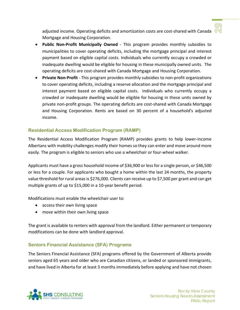adjusted income. Operating deficits and amortization costs are cost-shared with Canada  $\mathbb N$ Mortgage and Housing Corporation.

- **Public Non-Profit Municipally Owned** This program provides monthly subsidies to municipalities to cover operating deficits, including the mortgage principal and interest payment based on eligible capital costs. Individuals who currently occupy a crowded or inadequate dwelling would be eligible for housing in these municipally owned units. The operating deficits are cost-shared with Canada Mortgage and Housing Corporation.
- **Private Non-Profit** This program provides monthly subsidies to non-profit organizations to cover operating deficits, including a reserve allocation and the mortgage principal and interest payment based on eligible capital costs. Individuals who currently occupy a crowded or inadequate dwelling would be eligible for housing in these units owned by private non-profit groups. The operating deficits are cost-shared with Canada Mortgage and Housing Corporation. Rents are based on 30 percent of a household's adjusted income.

#### **Residential Access Modification Program (RAMP)**

The Residential Access Modification Program (RAMP) provides grants to help lower-income Albertans with mobility challenges modify their homes so they can enter and move around more easily. The program is eligible to seniors who use a wheelchair or four-wheel walker.

Applicants must have a gross household income of \$36,900 or less for a single person, or \$46,500 or less for a couple. For applicants who bought a home within the last 24 months, the property value threshold for rural areas is \$276,000. Clients can receive up to \$7,500 per grant and can get multiple grants of up to \$15,000 in a 10-year benefit period.

Modifications must enable the wheelchair user to:

- access their own living space
- move within their own living space

The grant is available to renters with approval from the landlord. Either permanent or temporary modifications can be done with landlord approval.

#### **Seniors Financial Assistance (SFA) Programs**

The Seniors Financial Assistance (SFA) programs offered by the Government of Alberta provide seniors aged 65 years and older who are Canadian citizens, or landed or sponsored immigrants, and have lived in Alberta for at least 3 months immediately before applying and have not chosen

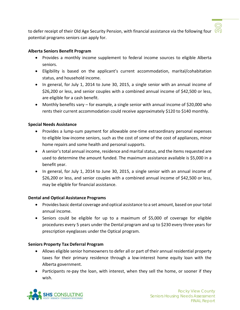to defer receipt of their Old Age Security Pension, with financial assistance via the following four  $\Omega$ potential programs seniors can apply for.

#### **Alberta Seniors Benefit Program**

- Provides a monthly income supplement to federal income sources to eligible Alberta seniors.
- Eligibility is based on the applicant's current accommodation, marital/cohabitation status, and household income.
- In general, for July 1, 2014 to June 30, 2015, a single senior with an annual income of \$26,200 or less, and senior couples with a combined annual income of \$42,500 or less, are eligible for a cash benefit.
- Monthly benefits vary for example, a single senior with annual income of \$20,000 who rents their current accommodation could receive approximately \$120 to \$140 monthly.

#### **Special Needs Assistance**

- Provides a lump-sum payment for allowable one-time extraordinary personal expenses to eligible low-income seniors, such as the cost of some of the cost of appliances, minor home repairs and some health and personal supports.
- A senior's total annual income, residence and marital status, and the items requested are used to determine the amount funded. The maximum assistance available is \$5,000 in a benefit year.
- In general, for July 1, 2014 to June 30, 2015, a single senior with an annual income of \$26,200 or less, and senior couples with a combined annual income of \$42,500 or less, may be eligible for financial assistance.

#### **Dental and Optical Assistance Programs**

- Provides basic dental coverage and optical assistance to a set amount, based on your total annual income.
- Seniors could be eligible for up to a maximum of \$5,000 of coverage for eligible procedures every 5 years under the Dental program and up to \$230 every three years for prescription eyeglasses under the Optical program.

#### **Seniors Property Tax Deferral Program**

- Allows eligible senior homeowners to defer all or part of their annual residential property taxes for their primary residence through a low-interest home equity loan with the Alberta government.
- Participants re-pay the loan, with interest, when they sell the home, or sooner if they wish.

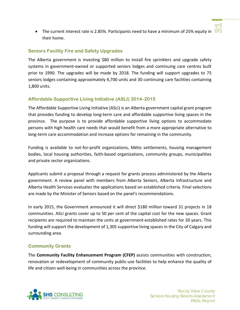• The current interest rate is 2.85%. Participants need to have a minimum of 25% equity in  $\omega$ their home.

#### **Seniors Facility Fire and Safety Upgrades**

The Alberta government is investing \$80 million to install fire sprinklers and upgrade safety systems in government-owned or supported seniors lodges and continuing care centres built prior to 1990. The upgrades will be made by 2018. The funding will support upgrades to 75 seniors lodges containing approximately 4,700 units and 30 continuing care facilities containing 1,800 units.

#### **Affordable Supportive Living Initiative (ASLI) 2014–2015**

The Affordable Supportive Living Initiative (ASLI) is an Alberta government capital grant program that provides funding to develop long-term care and affordable supportive living spaces in the province. The purpose is to provide affordable supportive living options to accommodate persons with high health care needs that would benefit from a more appropriate alternative to long-term care accommodation and increase options for remaining in the community.

Funding is available to not-for-profit organizations, Métis settlements, housing management bodies, local housing authorities, faith-based organizations, community groups, municipalities and private sector organizations.

Applicants submit a proposal through a request for grants process administered by the Alberta government. A review panel with members from Alberta Seniors, Alberta Infrastructure and Alberta Health Services evaluates the applications based on established criteria. Final selections are made by the Minister of Seniors based on the panel's recommendations.

In early 2015, the Government announced it will direct \$180 million toward 31 projects in 18 communities. ASLI grants cover up to 50 per cent of the capital cost for the new spaces. Grant recipients are required to maintain the units at government-established rates for 30 years. This funding will support the development of 1,305 supportive living spaces in the City of Calgary and surrounding area.

#### **Community Grants**

The **Community Facility Enhancement Program (CFEP)** assists communities with construction, renovation or redevelopment of community public-use facilities to help enhance the quality of life and citizen well-being in communities across the province.

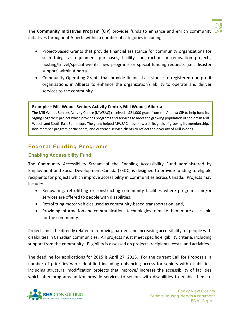

The **Community Initiatives Program (CIP)** provides funds to enhance and enrich community (C) initiatives throughout Alberta within a number of categories including:

- Project-Based Grants that provide financial assistance for community organizations for such things as equipment purchases, facility construction or renovation projects, hosting/travel/special events, new programs or special funding requests (i.e., disaster support) within Alberta.
- Community Operating Grants that provide financial assistance to registered non-profit organizations in Alberta to enhance the organization's ability to operate and deliver services to the community.

#### **Example – Mill Woods Seniors Activity Centre, Mill Woods, Alberta**

The Mill Woods Seniors Activity Centre (MWSAC) received a \$21,000 grant from the Alberta CIP to help fund its 'Aging Together' project which provides programs and services to meet the growing population of seniors in Mill Woods and South East Edmonton. The grant helped MWSAC move towards its goals of growing its membership, non-member program participants, and outreach service clients to reflect the diversity of Mill Woods.

#### **Federal Funding Programs**

#### **Enabling Accessibility Fund**

The Community Accessibility Stream of the Enabling Accessibility Fund administered by Employment and Social Development Canada (ESDC) is designed to provide funding to eligible recipients for projects which improve accessibility in communities across Canada. Projects may include:

- Renovating, retrofitting or constructing community facilities where programs and/or services are offered to people with disabilities;
- Retrofitting motor vehicles used as community-based transportation; and,
- Providing information and communications technologies to make them more accessible for the community.

Projects must be directly related to removing barriers and increasing accessibility for people with disabilities in Canadian communities. All projects must meet specific eligibility criteria, including support from the community. Eligibility is assessed on projects, recipients, costs, and activities.

The deadline for applications for 2015 is April 27, 2015. For the current Call for Proposals, a number of priorities were identified including enhancing access for seniors with disabilities, including structural modification projects that improve/ increase the accessibility of facilities which offer programs and/or provide services to seniors with disabilities to enable them to

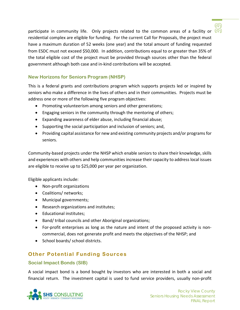participate in community life. Only projects related to the common areas of a facility or  $\widehat{N}$ residential complex are eligible for funding. For the current Call for Proposals, the project must have a maximum duration of 52 weeks (one year) and the total amount of funding requested from ESDC must not exceed \$50,000. In addition, contributions equal to or greater than 35% of the total eligible cost of the project must be provided through sources other than the federal government although both case and in-kind contributions will be accepted.

#### **New Horizons for Seniors Program (NHSP)**

This is a federal grants and contributions program which supports projects led or inspired by seniors who make a difference in the lives of others and in their communities. Projects must be address one or more of the following five program objectives:

- Promoting volunteerism among seniors and other generations;
- Engaging seniors in the community through the mentoring of others;
- Expanding awareness of elder abuse, including financial abuse;
- Supporting the social participation and inclusion of seniors; and,
- Providing capital assistance for new and existing community projects and/or programs for seniors.

Community-based projects under the NHSP which enable seniors to share their knowledge, skills and experiences with others and help communities increase their capacity to address local issues are eligible to receive up to \$25,000 per year per organization.

Eligible applicants include:

- Non-profit organizations
- Coalitions/ networks;
- Municipal governments;
- Research organizations and institutes;
- Educational institutes;
- Band/ tribal councils and other Aboriginal organizations;
- For-profit enterprises as long as the nature and intent of the proposed activity is noncommercial, does not generate profit and meets the objectives of the NHSP; and
- School boards/ school districts.

### **Other Potential Funding Sources**

#### **Social Impact Bonds (SIB)**

A social impact bond is a bond bought by investors who are interested in both a social and financial return. The investment capital is used to fund service providers, usually non-profit



ന്ത്ര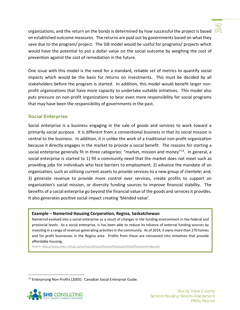

organizations, and the return on the bonds is determined by how successful the project is based  $\sqrt{10}$ on established outcome measures. The returns are paid out by governments based on what they save due to the program/ project. The SIB model would be useful for programs/ projects which would have the potential to put a dollar value on the social outcome by weighing the cost of prevention against the cost of remediation in the future.

One issue with this model is the need for a standard, reliable set of metrics to quantify social impacts which would be the basis for returns on investments. This must be decided by all stakeholders before the program is started. In addition, this model would benefit larger nonprofit organizations that have more capacity to undertake suitable initiatives. This model also puts pressure on non-profit organizations to bear even more responsibility for social programs that may have been the responsibility of governments in the past.

#### **Social Enterprise**

Social enterprise is a business engaging in the sale of goods and services to work toward a primarily social purpose. It is different from a conventional business in that its social mission is central to the business. In addition, it is unlike the work of a traditional non-profit organization because it directly engages in the market to provide a social benefit. The reasons for starting a social enterprise generally fit in three categories: "market, mission and money"<sup>[13](#page-36-0)</sup>. In general, a social enterprise is started to 1) fill a community need that the market does not meet such as providing jobs for individuals who face barriers to employment; 2) advance the mandate of an organization, such as utilizing current assets to provide services to a new group of clientele; and, 3) generate revenue to provide more control over services, create profits to support an organization's social mission, or diversity funding sources to improve financial stability. The benefits of a social enterprise go beyond the financial value of the goods and services it provides. It also generates positive social impact creating 'blended value'.

#### **Example – Namerind Housing Corporation, Regina, Saskatchewan**

Namerind evolved into a social enterprise as a result of changes in the funding environment in the federal and provincial levels. As a social enterprise, is has been able to reduce its reliance of external funding sources by investing in a range of revenue-generating activities in the community. As of 2014, it owns more than 270 homes and for-profit businesses in the Regina area. Profits from these are reinvested into initiatives that provide affordable housing.

Source[: https://www.cmhc-schl.gc.ca/en/inpr/afhoce/afhoce/afhostcast/afhoid/fite/soen/index.cfm](https://www.cmhc-schl.gc.ca/en/inpr/afhoce/afhoce/afhostcast/afhoid/fite/soen/index.cfm)

<span id="page-36-0"></span><sup>&</sup>lt;sup>13</sup> Enterprising Non-Profits (2005). Canadian Social Enterprise Guide.

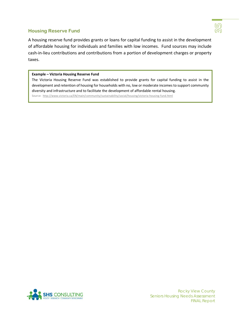#### **Housing Reserve Fund**



A housing reserve fund provides grants or loans for capital funding to assist in the development of affordable housing for individuals and families with low incomes. Fund sources may include cash-in-lieu contributions and contributions from a portion of development charges or property taxes.

#### **Example – Victoria Housing Reserve Fund**

The Victoria Housing Reserve Fund was established to provide grants for capital funding to assist in the development and retention of housing for households with no, low or moderate incomes to support community diversity and infrastructure and to facilitate the development of affordable rental housing.

Source:<http://www.victoria.ca/EN/main/community/sustainability/social/housing/victoria-housing-fund.html>

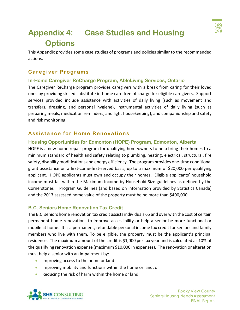<span id="page-38-0"></span>

This Appendix provides some case studies of programs and policies similar to the recommended actions.

#### **Caregiver Programs**

#### **In-Home Caregiver ReCharge Program, AbleLiving Services, Ontario**

The Caregiver ReCharge program provides caregivers with a break from caring for their loved ones by providing skilled substitute in-home care free of charge for eligible caregivers. Support services provided include assistance with activities of daily living (such as movement and transfers, dressing, and personal hygiene), instrumental activities of daily living (such as preparing meals, medication reminders, and light housekeeping), and companionship and safety and risk monitoring.

#### **Assistance for Home Renovations**

#### **Housing Opportunities for Edmonton (HOPE) Program, Edmonton, Alberta**

HOPE is a new home repair program for qualifying homeowners to help bring their homes to a minimum standard of health and safety relating to plumbing, heating, electrical, structural, fire safety, disability modifications and energy efficiency. The program provides one-time conditional grant assistance on a first-come-first-served basis, up to a maximum of \$20,000 per qualifying applicant. HOPE applicants must own and occupy their homes. Eligible applicants' household income must fall within the Maximum Income by Household Size guidelines as defined by the Cornerstones II Program Guidelines (and based on information provided by Statistics Canada) and the 2013 assessed home value of the property must be no more than \$400,000.

#### **B.C. Seniors Home Renovation Tax Credit**

The B.C. seniors home renovation tax credit assists individuals 65 and over with the cost of certain permanent home renovations to improve accessibility or help a senior be more functional or mobile at home. It is a permanent, refundable personal income tax credit for seniors and family members who live with them. To be eligible, the property must be the applicant's principal residence. The maximum amount of the credit is \$1,000 per tax year and is calculated as 10% of the qualifying renovation expense (maximum \$10,000 in expenses). The renovation or alteration must help a senior with an impairment by:

- Improving access to the home or land
- Improving mobility and functions within the home or land, or
- Reducing the risk of harm within the home or land



(ശ) ൡ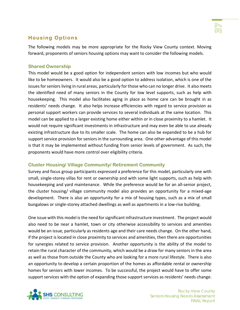#### **Housing Options**

The following models may be more appropriate for the Rocky View County context. Moving forward, proponents of seniors housing options may want to consider the following models.

#### **Shared Ownership**

This model would be a good option for independent seniors with low incomes but who would like to be homeowners. It would also be a good option to address isolation, which is one of the issues for seniors living in rural areas, particularly for those who can no longer drive. It also meets the identified need of many seniors in the County for low level supports, such as help with housekeeping. This model also facilitates aging in place as home care can be brought in as residents' needs change. It also helps increase efficiencies with regard to service provision as personal support workers can provide services to several individuals at the same location. This model can be applied to a larger existing home either within or in close proximity to a hamlet. It would not require significant investments in infrastructure and may even be able to use already existing infrastructure due to its smaller scale. The home can also be expanded to be a hub for support service provision for seniors in the surrounding area. One other advantage of this model is that it may be implemented without funding from senior levels of government. As such, the proponents would have more control over eligibility criteria.

#### **Cluster Housing/ Village Community/ Retirement Community**

Survey and focus group participants expressed a preference for this model, particularly one with small, single-storey villas for rent or ownership and with some light supports, such as help with housekeeping and yard maintenance. While the preference would be for an all-senior project, the cluster housing/ village community model also provides an opportunity for a mixed-age development. There is also an opportunity for a mix of housing types, such as a mix of small bungalows or single-storey attached dwellings as well as apartments in a low-rise building.

One issue with this model is the need for significant infrastructure investment. The project would also need to be near a hamlet, town or city otherwise accessibility to services and amenities would be an issue, particularly as residents age and their care needs change. On the other hand, if the project is located in close proximity to services and amenities, then there are opportunities for synergies related to service provision. Another opportunity is the ability of the model to retain the rural character of the community, which would be a draw for many seniors in the area as well as those from outside the County who are looking for a more rural lifestyle. There is also an opportunity to develop a certain proportion of the homes as affordable rental or ownership homes for seniors with lower incomes. To be successful, the project would have to offer some support services with the option of expanding those support services as residents' needs change.

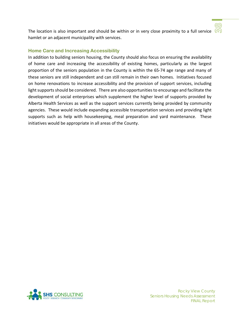The location is also important and should be within or in very close proximity to a full service  $\widehat{N}$ hamlet or an adjacent municipality with services.

#### **Home Care and Increasing Accessibility**

In addition to building seniors housing, the County should also focus on ensuring the availability of home care and increasing the accessibility of existing homes, particularly as the largest proportion of the seniors population in the County is within the 65-74 age range and many of these seniors are still independent and can still remain in their own homes. Initiatives focused on home renovations to increase accessibility and the provision of support services, including light supports should be considered. There are also opportunities to encourage and facilitate the development of social enterprises which supplement the higher level of supports provided by Alberta Health Services as well as the support services currently being provided by community agencies. These would include expanding accessible transportation services and providing light supports such as help with housekeeping, meal preparation and yard maintenance. These initiatives would be appropriate in all areas of the County.



Rocky View County Seniors Housing Needs Assessment FINAL Report

ඟ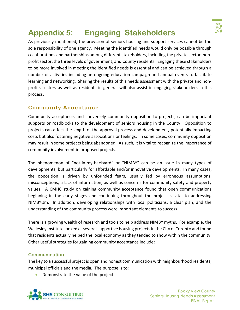

# <span id="page-41-0"></span>**Appendix 5: Engaging Stakeholders**

As previously mentioned, the provision of seniors housing and support services cannot be the sole responsibility of one agency. Meeting the identified needs would only be possible through collaborations and partnerships among different stakeholders, including the private sector, nonprofit sector, the three levels of government, and County residents. Engaging these stakeholders to be more involved in meeting the identified needs is essential and can be achieved through a number of activities including an ongoing education campaign and annual events to facilitate learning and networking. Sharing the results of this needs assessment with the private and nonprofits sectors as well as residents in general will also assist in engaging stakeholders in this process.

#### **Community Acceptance**

Community acceptance, and conversely community opposition to projects, can be important supports or roadblocks to the development of seniors housing in the County. Opposition to projects can affect the length of the approval process and development, potentially impacting costs but also fostering negative associations or feelings. In some cases, community opposition may result in some projects being abandoned. As such, it is vital to recognize the importance of community involvement in proposed projects.

The phenomenon of "not-in-my-backyard" or "NIMBY" can be an issue in many types of developments, but particularly for affordable and/or innovative developments. In many cases, the opposition is driven by unfounded fears, usually fed by erroneous assumptions, misconceptions, a lack of information, as well as concerns for community safety and property values. A CMHC study on gaining community acceptance found that open communications beginning in the early stages and continuing throughout the project is vital to addressing NIMBYism. In addition, developing relationships with local politicians, a clear plan, and the understanding of the community process were important elements to success.

There is a growing wealth of research and tools to help address NIMBY myths. For example, the Wellesley Institute looked at several supportive housing projects in the City of Toronto and found that residents actually helped the local economy as they tended to show within the community. Other useful strategies for gaining community acceptance include:

#### **Communication**

The key to a successful project is open and honest communication with neighbourhood residents, municipal officials and the media. The purpose is to:

• Demonstrate the value of the project